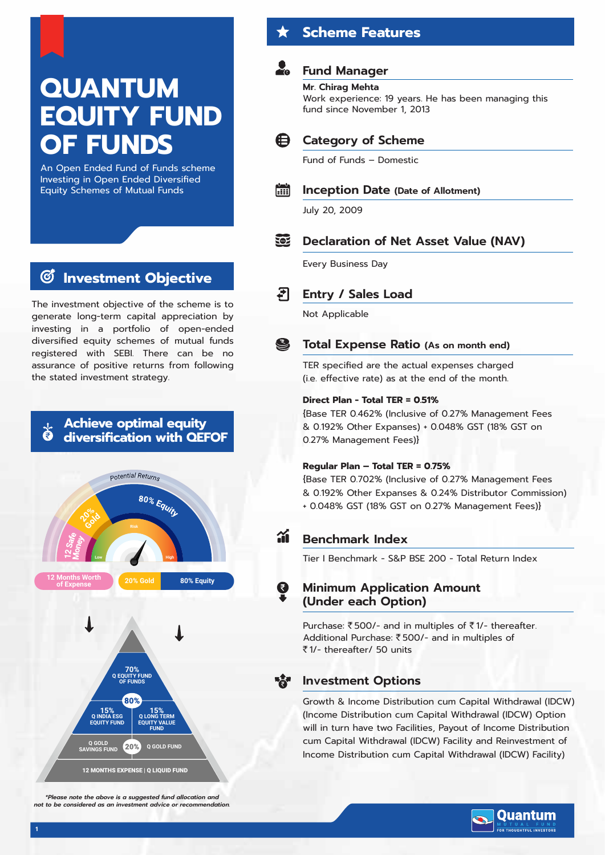## **QUANTUM EQUITY FUND OF FUNDS**

An Open Ended Fund of Funds scheme Investing in Open Ended Diversified Equity Schemes of Mutual Funds

#### **Investment Objective G**

The investment objective of the scheme is to generate long-term capital appreciation by investing in a portfolio of open-ended diversified equity schemes of mutual funds registered with SEBI. There can be no assurance of positive returns from following the stated investment strategy.

## **Achieve optimal equity diversification with QEFOF**



**Scheme Features**

## **Fund Manager**

**Mr. Chirag Mehta** Work experience: 19 years. He has been managing this fund since November 1, 2013



Fund of Funds – Domestic



#### **Inception Date (Date of Allotment)**

July 20, 2009

### **Declaration of Net Asset Value (NAV)**

Every Business Day



**Entry / Sales Load**

Not Applicable

#### S **Total Expense Ratio (As on month end)**

TER specified are the actual expenses charged (i.e. effective rate) as at the end of the month.

#### **Direct Plan - Total TER = 0.51%**

{Base TER 0.462% (Inclusive of 0.27% Management Fees & 0.192% Other Expanses) + 0.048% GST (18% GST on 0.27% Management Fees)}

#### **Regular Plan – Total TER = 0.75%**

{Base TER 0.702% (Inclusive of 0.27% Management Fees & 0.192% Other Expanses & 0.24% Distributor Commission) + 0.048% GST (18% GST on 0.27% Management Fees)}

## **Benchmark Index**

Tier I Benchmark - S&P BSE 200 - Total Return Index

#### **Minimum Application Amount (Under each Option)**

Purchase:  $\bar{\tau}$  500/- and in multiples of  $\bar{\tau}$  1/- thereafter. Additional Purchase: ₹500/- and in multiples of `1/- thereafter/ 50 units

### **Investment Options**

Growth & Income Distribution cum Capital Withdrawal (IDCW) (Income Distribution cum Capital Withdrawal (IDCW) Option will in turn have two Facilities, Payout of Income Distribution cum Capital Withdrawal (IDCW) Facility and Reinvestment of Income Distribution cum Capital Withdrawal (IDCW) Facility)



*\*Please note the above is a suggested fund allocation and not to be considered as an investment advice or recommendation.*

12 MONTHS EXPENSE | Q LIQUID FUND

**Q GOLD FUND**

**FUND**

**Q GOLD SAVINGS FUND**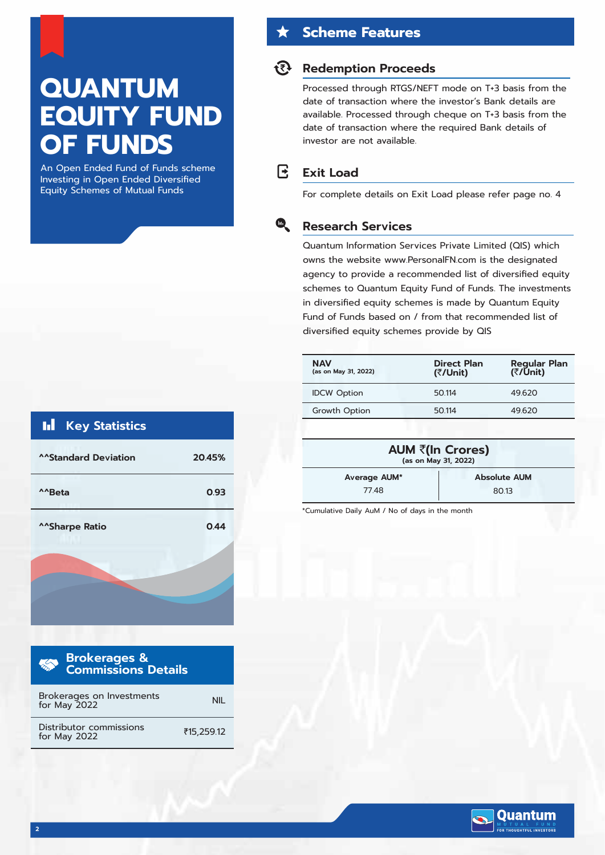# **QUANTUM EQUITY FUND OF FUNDS**

An Open Ended Fund of Funds scheme Investing in Open Ended Diversified Equity Schemes of Mutual Funds

## **Scheme Features**

#### **Redemption Proceeds**

Processed through RTGS/NEFT mode on T+3 basis from the date of transaction where the investor's Bank details are available. Processed through cheque on T+3 basis from the date of transaction where the required Bank details of investor are not available.

#### R **Exit Load**

 $\bullet$ 

For complete details on Exit Load please refer page no. 4

#### **Research Services**

Quantum Information Services Private Limited (QIS) which owns the website www.PersonalFN.com is the designated agency to provide a recommended list of diversified equity schemes to Quantum Equity Fund of Funds. The investments in diversified equity schemes is made by Quantum Equity Fund of Funds based on / from that recommended list of diversified equity schemes provide by QIS

| <b>NAV</b><br>(as on May 31, 2022) | <b>Direct Plan</b><br>(₹/Unit) | <b>Regular Plan</b><br>(₹/Ūnit) |
|------------------------------------|--------------------------------|---------------------------------|
| <b>IDCW Option</b>                 | 50.114                         | 49.620                          |
| Growth Option                      | 50.114                         | 49.620                          |
|                                    |                                |                                 |

| (as on May 31, 2022) | AUM ₹(In Crores)    |
|----------------------|---------------------|
| Average AUM*         | <b>Absolute AUM</b> |
| 7748                 | 8013                |

\*Cumulative Daily AuM / No of days in the month



**Quantum** THOUGHTFUL INVESTORS

| <b>III</b> Key Statistics   |        |
|-----------------------------|--------|
| <b>^^Standard Deviation</b> | 20.45% |
| <sup>^^</sup> Beta          | 0.93   |
| ^^Sharpe Ratio              | 0.44   |
|                             |        |
|                             |        |

| <b>Brokerages &amp; Exercise</b><br><b>Commissions Details</b><br><b>RECORD</b> |            |
|---------------------------------------------------------------------------------|------------|
| Brokerages on Investments<br>for May 2022                                       |            |
| Distributor commissions<br>for May 2022                                         | ₹15,259.12 |

**2**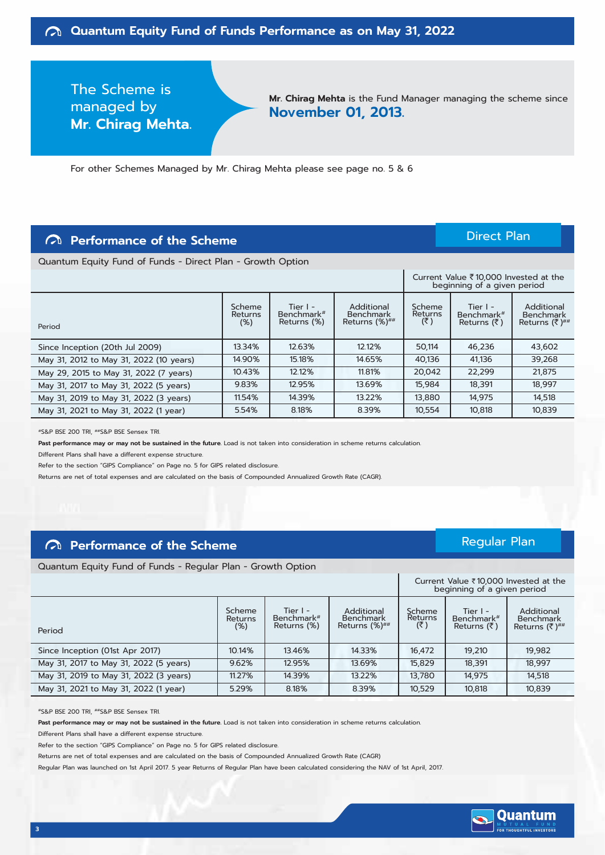The Scheme is managed by **Mr. Chirag Mehta.**

**Mr. Chirag Mehta** is the Fund Manager managing the scheme since **November 01, 2013.**

For other Schemes Managed by Mr. Chirag Mehta please see page no. 5 & 6

## **Performance of the Scheme**

#### Direct Plan

Regular Plan

Quantum Equity Fund of Funds - Direct Plan - Growth Option

|                                         |                             |                                                     |                                                   |                          | Current Value ₹10,000 Invested at the<br>beginning of a given period |                                                       |  |
|-----------------------------------------|-----------------------------|-----------------------------------------------------|---------------------------------------------------|--------------------------|----------------------------------------------------------------------|-------------------------------------------------------|--|
| Period                                  | Scheme<br>Returns<br>$(\%)$ | Tier $I -$<br>Benchmark <sup>#</sup><br>Returns (%) | Additional<br>Benchmark<br>Returns $(\%)^{\# \#}$ | Scheme<br>Returns<br>(₹) | Tier $I -$<br>Benchmark <sup>#</sup><br>Returns $(\bar{z})$          | Additional<br><b>Benchmark</b><br>Returns $(3^{n+1})$ |  |
| Since Inception (20th Jul 2009)         | 13.34%                      | 12.63%                                              | 12.12%                                            | 50,114                   | 46,236                                                               | 43,602                                                |  |
| May 31, 2012 to May 31, 2022 (10 years) | 14.90%                      | 15.18%                                              | 14.65%                                            | 40,136                   | 41,136                                                               | 39,268                                                |  |
| May 29, 2015 to May 31, 2022 (7 years)  | 10.43%                      | 12.12%                                              | 11.81%                                            | 20,042                   | 22,299                                                               | 21,875                                                |  |
| May 31, 2017 to May 31, 2022 (5 years)  | 9.83%                       | 12.95%                                              | 13.69%                                            | 15,984                   | 18,391                                                               | 18,997                                                |  |
| May 31, 2019 to May 31, 2022 (3 years)  | 11.54%                      | 14.39%                                              | 13.22%                                            | 13,880                   | 14,975                                                               | 14.518                                                |  |
| May 31, 2021 to May 31, 2022 (1 year)   | 5.54%                       | 8.18%                                               | 8.39%                                             | 10,554                   | 10,818                                                               | 10,839                                                |  |

#S&P BSE 200 TRI, ##S&P BSE Sensex TRI.

**Past performance may or may not be sustained in the future.** Load is not taken into consideration in scheme returns calculation.

Different Plans shall have a different expense structure.

Refer to the section "GIPS Compliance" on Page no. 5 for GIPS related disclosure.

Returns are net of total expenses and are calculated on the basis of Compounded Annualized Growth Rate (CAGR).

#### **Performance of the Scheme**

Quantum Equity Fund of Funds - Regular Plan - Growth Option

|                                        | Current Value $\bar{\tau}$ 10,000 Invested at the<br>beginning of a given period |                                         |                                                   |                          |                                         |                                                       |
|----------------------------------------|----------------------------------------------------------------------------------|-----------------------------------------|---------------------------------------------------|--------------------------|-----------------------------------------|-------------------------------------------------------|
| Period                                 | Scheme<br>Returns<br>$(\%)$                                                      | Tier $I -$<br>Benchmark#<br>Returns (%) | Additional<br>Benchmark<br>Returns $(\%)^{\# \#}$ | Scheme<br>Returns<br>(3) | Tier $I -$<br>Benchmark#<br>Returns (₹) | Additional<br><b>Benchmark</b><br>Returns $(3^{n+1})$ |
| Since Inception (01st Apr 2017)        | 10.14%                                                                           | 13.46%                                  | 14.33%                                            | 16,472                   | 19,210                                  | 19,982                                                |
| May 31, 2017 to May 31, 2022 (5 years) | 9.62%                                                                            | 12.95%                                  | 13.69%                                            | 15,829                   | 18,391                                  | 18,997                                                |
| May 31, 2019 to May 31, 2022 (3 years) | 11.27%                                                                           | 14.39%                                  | 13.22%                                            | 13,780                   | 14,975                                  | 14,518                                                |
| May 31, 2021 to May 31, 2022 (1 year)  | 5.29%                                                                            | 8.18%                                   | 8.39%                                             | 10,529                   | 10,818                                  | 10,839                                                |

#S&P BSE 200 TRI, ##S&P BSE Sensex TRI.

**Past performance may or may not be sustained in the future.** Load is not taken into consideration in scheme returns calculation.

Different Plans shall have a different expense structure.

Refer to the section "GIPS Compliance" on Page no. 5 for GIPS related disclosure.

Returns are net of total expenses and are calculated on the basis of Compounded Annualized Growth Rate (CAGR)

Regular Plan was launched on 1st April 2017. 5 year Returns of Regular Plan have been calculated considering the NAV of 1st April, 2017.

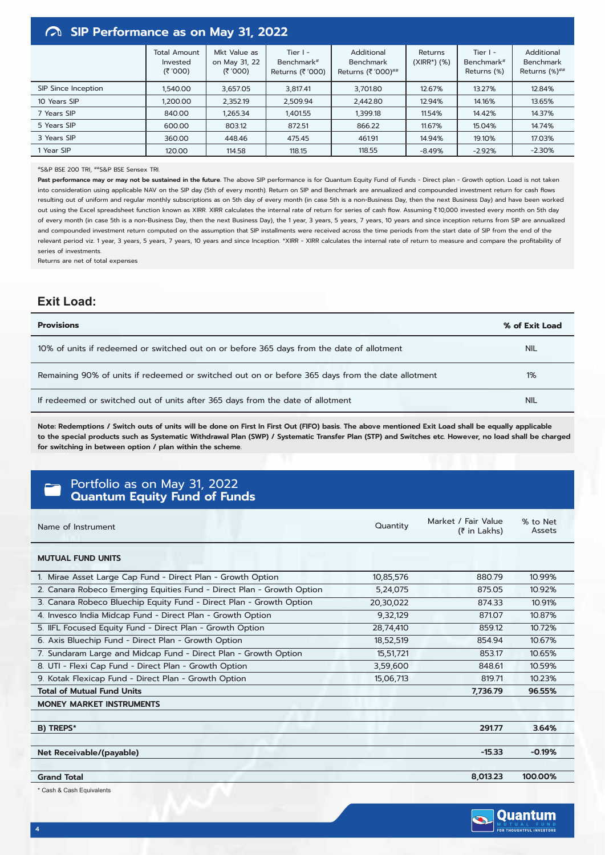#### **SIP Performance as on May 31, 2022**

|                     | <b>Total Amount</b><br>Invested<br>(300) | Mkt Value as<br>on May 31, 22<br>(₹ '000) | Tier $I -$<br>Benchmark#<br>Returns (₹'000) | Additional<br><b>Benchmark</b><br>Returns (₹ '000)## | Returns<br>$(XIRR*)$ $(\%)$ | Tier $I -$<br>Benchmark <sup>#</sup><br>Returns (%) | Additional<br><b>Benchmark</b><br>Returns (%)## |
|---------------------|------------------------------------------|-------------------------------------------|---------------------------------------------|------------------------------------------------------|-----------------------------|-----------------------------------------------------|-------------------------------------------------|
| SIP Since Inception | 1,540.00                                 | 3,657.05                                  | 3,817.41                                    | 3,701.80                                             | 12.67%                      | 13.27%                                              | 12.84%                                          |
| 10 Years SIP        | 1,200.00                                 | 2,352.19                                  | 2,509.94                                    | 2,442.80                                             | 12.94%                      | 14.16%                                              | 13.65%                                          |
| 7 Years SIP         | 840.00                                   | 1,265.34                                  | 1,401.55                                    | 1,399.18                                             | 11.54%                      | 14.42%                                              | 14.37%                                          |
| 5 Years SIP         | 600.00                                   | 803.12                                    | 872.51                                      | 866.22                                               | 11.67%                      | 15.04%                                              | 14.74%                                          |
| 3 Years SIP         | 360.00                                   | 448.46                                    | 475.45                                      | 461.91                                               | 14.94%                      | 19.10%                                              | 17.03%                                          |
| 1 Year SIP          | 120.00                                   | 114.58                                    | 118.15                                      | 118.55                                               | $-8.49%$                    | $-2.92%$                                            | $-2.30%$                                        |

#### #S&P BSE 200 TRI, ##S&P BSE Sensex TRI.

Past performance may or may not be sustained in the future. The above SIP performance is for Quantum Equity Fund of Funds - Direct plan - Growth option. Load is not taken into consideration using applicable NAV on the SIP day (5th of every month). Return on SIP and Benchmark are annualized and compounded investment return for cash flows resulting out of uniform and regular monthly subscriptions as on 5th day of every month (in case 5th is a non-Business Day, then the next Business Day) and have been worked out using the Excel spreadsheet function known as XIRR. XIRR calculates the internal rate of return for series of cash flow. Assuming `10,000 invested every month on 5th day of every month (in case 5th is a non-Business Day, then the next Business Day), the 1 year, 3 years, 5 years, 7 years, 10 years and since inception returns from SIP are annualized and compounded investment return computed on the assumption that SIP installments were received across the time periods from the start date of SIP from the end of the relevant period viz. 1 year, 3 years, 5 years, 7 years, 10 years and since Inception. \*XIRR - XIRR calculates the internal rate of return to measure and compare the profitability of series of investments.

Returns are net of total expenses

#### **Exit Load:**

| <b>Provisions</b>                                                                                | % of Exit Load |
|--------------------------------------------------------------------------------------------------|----------------|
| 10% of units if redeemed or switched out on or before 365 days from the date of allotment        | <b>NIL</b>     |
| Remaining 90% of units if redeemed or switched out on or before 365 days from the date allotment | 1%             |
| If redeemed or switched out of units after 365 days from the date of allotment                   | <b>NIL</b>     |

**Note: Redemptions / Switch outs of units will be done on First In First Out (FIFO) basis. The above mentioned Exit Load shall be equally applicable to the special products such as Systematic Withdrawal Plan (SWP) / Systematic Transfer Plan (STP) and Switches etc. However, no load shall be charged for switching in between option / plan within the scheme.**

#### Portfolio as on May 31, 2022 **Quantum Equity Fund of Funds**

| Name of Instrument                                                    | Quantity  | Market / Fair Value<br>(₹ in Lakhs) | % to Net<br>Assets |  |
|-----------------------------------------------------------------------|-----------|-------------------------------------|--------------------|--|
| <b>MUTUAL FUND UNITS</b>                                              |           |                                     |                    |  |
| 1. Mirae Asset Large Cap Fund - Direct Plan - Growth Option           | 10,85,576 | 880.79                              | 10.99%             |  |
| 2. Canara Robeco Emerging Equities Fund - Direct Plan - Growth Option | 5,24,075  | 875.05                              | 10.92%             |  |
| 3. Canara Robeco Bluechip Equity Fund - Direct Plan - Growth Option   | 20,30,022 | 874.33                              | 10.91%             |  |
| 4. Invesco India Midcap Fund - Direct Plan - Growth Option            | 9,32,129  | 871.07                              | 10.87%             |  |
| 5. IIFL Focused Equity Fund - Direct Plan - Growth Option             | 28,74,410 | 859.12                              | 10.72%             |  |
| 6. Axis Bluechip Fund - Direct Plan - Growth Option                   | 18,52,519 | 854.94                              | 10.67%             |  |
| 7. Sundaram Large and Midcap Fund - Direct Plan - Growth Option       | 15,51,721 | 853.17                              | 10.65%             |  |
| 8. UTI - Flexi Cap Fund - Direct Plan - Growth Option                 | 3,59,600  | 848.61                              | 10.59%             |  |
| 9. Kotak Flexicap Fund - Direct Plan - Growth Option                  | 15,06,713 | 819.71                              | 10.23%             |  |
| <b>Total of Mutual Fund Units</b>                                     |           | 7,736.79                            | 96.55%             |  |
| <b>MONEY MARKET INSTRUMENTS</b>                                       |           |                                     |                    |  |
|                                                                       |           |                                     |                    |  |
| B) TREPS*                                                             |           | 291.77                              | 3.64%              |  |
|                                                                       |           |                                     |                    |  |
| Net Receivable/(payable)                                              |           | $-15.33$                            | $-0.19%$           |  |
|                                                                       |           |                                     |                    |  |
| <b>Grand Total</b>                                                    |           | 8,013.23                            | 100.00%            |  |

\* Cash & Cash Equivalents

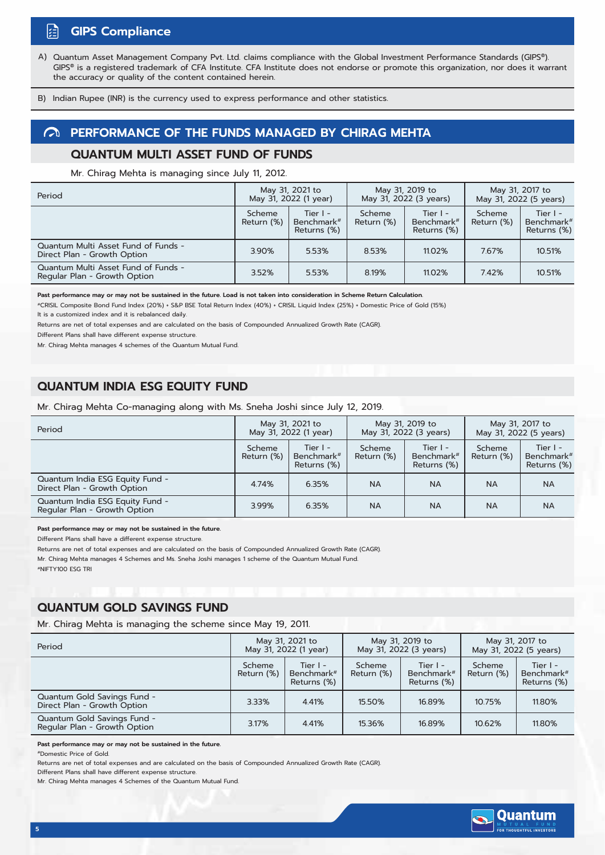#### 蹈 **GIPS Compliance**

Quantum Asset Management Company Pvt. Ltd. claims compliance with the Global Investment Performance Standards (GIPS®). GIPS® is a registered trademark of CFA Institute. CFA Institute does not endorse or promote this organization, nor does it warrant the accuracy or quality of the content contained herein. A)

B) Indian Rupee (INR) is the currency used to express performance and other statistics.

#### **PERFORMANCE OF THE FUNDS MANAGED BY CHIRAG MEHTA**

#### **QUANTUM MULTI ASSET FUND OF FUNDS**

Mr. Chirag Mehta is managing since July 11, 2012.

| Period                                                              | May 31, 2021 to<br>May 31, 2022 (1 year) |                                         | May 31, 2019 to<br>May 31, 2022 (3 years) |                                                     | May 31, 2017 to<br>May 31, 2022 (5 years) |                                                     |
|---------------------------------------------------------------------|------------------------------------------|-----------------------------------------|-------------------------------------------|-----------------------------------------------------|-------------------------------------------|-----------------------------------------------------|
|                                                                     | Scheme<br>Return (%)                     | Tier $I -$<br>Benchmark#<br>Returns (%) | Scheme<br>Return (%)                      | Tier $I -$<br>Benchmark <sup>#</sup><br>Returns (%) | Scheme<br>Return (%)                      | Tier $I -$<br>Benchmark <sup>#</sup><br>Returns (%) |
| Quantum Multi Asset Fund of Funds -<br>Direct Plan - Growth Option  | 3.90%                                    | 5.53%                                   | 8.53%                                     | 11.02%                                              | 7.67%                                     | 10.51%                                              |
| Quantum Multi Asset Fund of Funds -<br>Regular Plan - Growth Option | 3.52%                                    | 5.53%                                   | 8.19%                                     | 11.02%                                              | 7.42%                                     | 10.51%                                              |

**Past performance may or may not be sustained in the future. Load is not taken into consideration in Scheme Return Calculation.**

#CRISIL Composite Bond Fund Index (20%) + S&P BSE Total Return Index (40%) + CRISIL Liquid Index (25%) + Domestic Price of Gold (15%) It is a customized index and it is rebalanced daily

Returns are net of total expenses and are calculated on the basis of Compounded Annualized Growth Rate (CAGR).

Different Plans shall have different expense structure.

Mr. Chirag Mehta manages 4 schemes of the Quantum Mutual Fund.

#### **QUANTUM INDIA ESG EQUITY FUND**

Mr. Chirag Mehta Co-managing along with Ms. Sneha Joshi since July 12, 2019.

| Period                                                          | May 31, 2021 to<br>May 31, 2022 (1 year) |                                         | May 31, 2019 to<br>May 31, 2022 (3 years) |                                                     | May 31, 2017 to<br>May 31, 2022 (5 years) |                                                     |
|-----------------------------------------------------------------|------------------------------------------|-----------------------------------------|-------------------------------------------|-----------------------------------------------------|-------------------------------------------|-----------------------------------------------------|
|                                                                 | Scheme<br>Return (%)                     | Tier $I -$<br>Benchmark#<br>Returns (%) | Scheme<br>Return (%)                      | Tier $I -$<br>Benchmark <sup>#</sup><br>Returns (%) | Scheme<br>Return (%)                      | Tier $I -$<br>Benchmark <sup>#</sup><br>Returns (%) |
| Quantum India ESG Equity Fund -<br>Direct Plan - Growth Option  | 4.74%                                    | 6.35%                                   | <b>NA</b>                                 | <b>NA</b>                                           | <b>NA</b>                                 | <b>NA</b>                                           |
| Quantum India ESG Equity Fund -<br>Regular Plan - Growth Option | 3.99%                                    | 6.35%                                   | <b>NA</b>                                 | NA                                                  | <b>NA</b>                                 | <b>NA</b>                                           |

#### **Past performance may or may not be sustained in the future.**

Different Plans shall have a different expense structure.

Returns are net of total expenses and are calculated on the basis of Compounded Annualized Growth Rate (CAGR).

Mr. Chirag Mehta manages 4 Schemes and Ms. Sneha Joshi manages 1 scheme of the Quantum Mutual Fund.

#NIFTY100 ESG TRI

#### **QUANTUM GOLD SAVINGS FUND**

Mr. Chirag Mehta is managing the scheme since May 19, 2011.

| Period                                                      | May 31, 2021 to<br>May 31, 2022 (1 year) |                                                     | May 31, 2019 to<br>May 31, 2022 (3 years) |                                                     | May 31, 2017 to<br>May 31, 2022 (5 years) |                                                   |
|-------------------------------------------------------------|------------------------------------------|-----------------------------------------------------|-------------------------------------------|-----------------------------------------------------|-------------------------------------------|---------------------------------------------------|
|                                                             | Scheme<br>Return (%)                     | Tier $I -$<br>Benchmark <sup>#</sup><br>Returns (%) | Scheme<br>Return (%)                      | Tier $I -$<br>Benchmark <sup>#</sup><br>Returns (%) | Scheme<br>Return (%)                      | Tier I -<br>Benchmark <sup>#</sup><br>Returns (%) |
| Quantum Gold Savings Fund -<br>Direct Plan - Growth Option  | 3.33%                                    | 4.41%                                               | 15.50%                                    | 16.89%                                              | 10.75%                                    | 11.80%                                            |
| Quantum Gold Savings Fund -<br>Regular Plan - Growth Option | 3.17%                                    | 4.41%                                               | 15.36%                                    | 16.89%                                              | 10.62%                                    | 11.80%                                            |

**Past performance may or may not be sustained in the future.**

#Domestic Price of Gold.

Returns are net of total expenses and are calculated on the basis of Compounded Annualized Growth Rate (CAGR).

Different Plans shall have different expense structure.

Mr. Chirag Mehta manages 4 Schemes of the Quantum Mutual Fund.